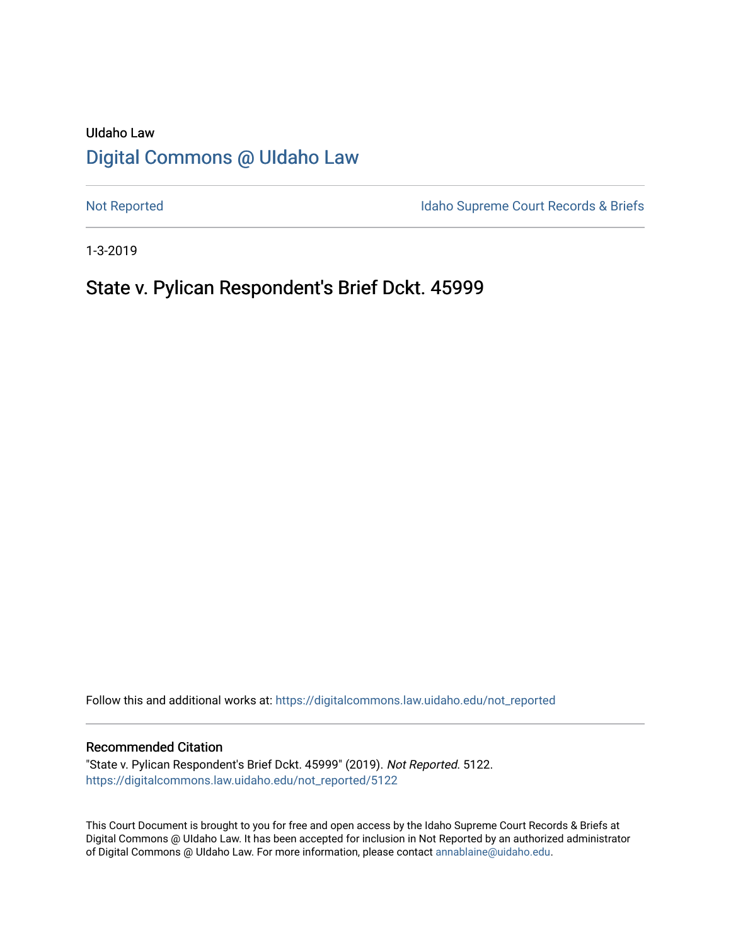# UIdaho Law [Digital Commons @ UIdaho Law](https://digitalcommons.law.uidaho.edu/)

[Not Reported](https://digitalcommons.law.uidaho.edu/not_reported) **Idaho Supreme Court Records & Briefs** 

1-3-2019

# State v. Pylican Respondent's Brief Dckt. 45999

Follow this and additional works at: [https://digitalcommons.law.uidaho.edu/not\\_reported](https://digitalcommons.law.uidaho.edu/not_reported?utm_source=digitalcommons.law.uidaho.edu%2Fnot_reported%2F5122&utm_medium=PDF&utm_campaign=PDFCoverPages) 

#### Recommended Citation

"State v. Pylican Respondent's Brief Dckt. 45999" (2019). Not Reported. 5122. [https://digitalcommons.law.uidaho.edu/not\\_reported/5122](https://digitalcommons.law.uidaho.edu/not_reported/5122?utm_source=digitalcommons.law.uidaho.edu%2Fnot_reported%2F5122&utm_medium=PDF&utm_campaign=PDFCoverPages)

This Court Document is brought to you for free and open access by the Idaho Supreme Court Records & Briefs at Digital Commons @ UIdaho Law. It has been accepted for inclusion in Not Reported by an authorized administrator of Digital Commons @ UIdaho Law. For more information, please contact [annablaine@uidaho.edu](mailto:annablaine@uidaho.edu).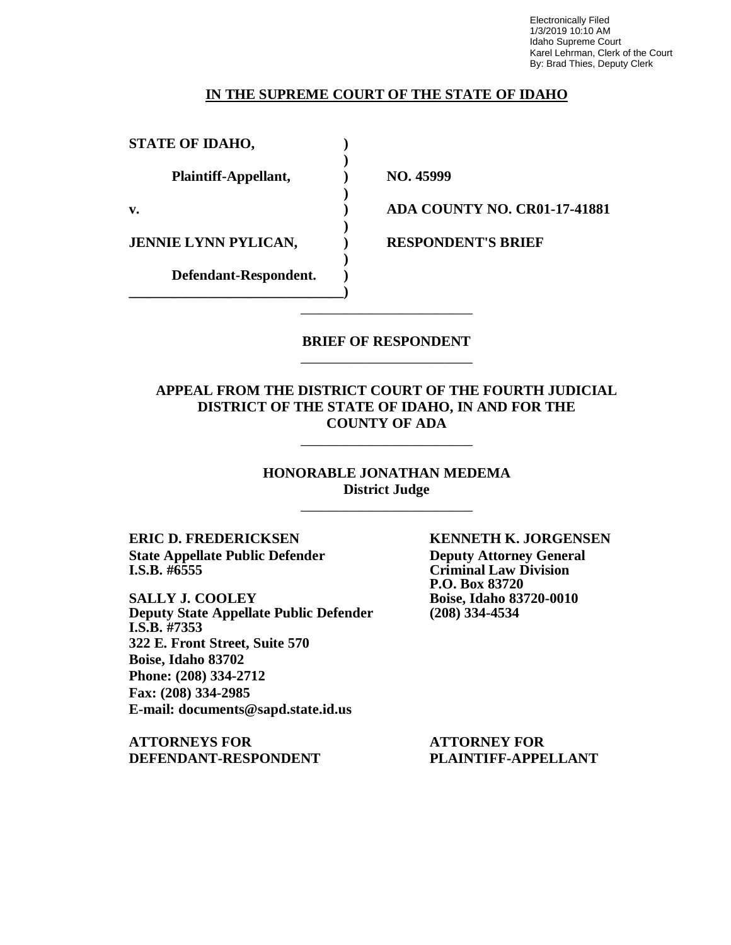Electronically Filed 1/3/2019 10:10 AM Idaho Supreme Court Karel Lehrman, Clerk of the Court By: Brad Thies, Deputy Clerk

### **IN THE SUPREME COURT OF THE STATE OF IDAHO**

**)**

| <b>STATE OF IDAHO,</b>      |  |
|-----------------------------|--|
| Plaintiff-Appellant,        |  |
| $\mathbf{v}$ .              |  |
| <b>JENNIE LYNN PYLICAN,</b> |  |
| Defendant-Respondent.       |  |

**Plaintiff-Appellant, ) NO. 45999**

**v. ) ADA COUNTY NO. CR01-17-41881**

**RESPONDENT'S BRIEF** 

### **BRIEF OF RESPONDENT** \_\_\_\_\_\_\_\_\_\_\_\_\_\_\_\_\_\_\_\_\_\_\_\_

\_\_\_\_\_\_\_\_\_\_\_\_\_\_\_\_\_\_\_\_\_\_\_\_

### **APPEAL FROM THE DISTRICT COURT OF THE FOURTH JUDICIAL DISTRICT OF THE STATE OF IDAHO, IN AND FOR THE COUNTY OF ADA**

\_\_\_\_\_\_\_\_\_\_\_\_\_\_\_\_\_\_\_\_\_\_\_\_

**HONORABLE JONATHAN MEDEMA District Judge**

\_\_\_\_\_\_\_\_\_\_\_\_\_\_\_\_\_\_\_\_\_\_\_\_

**ERIC D. FREDERICKSEN KENNETH K. JORGENSEN State Appellate Public Defender Deputy Attorney General**<br> **I.S.B.** #6555 **Criminal Law Division** 

**SALLY J. COOLEY Boise, Idaho 83720-0010**<br> **Deputy State Appellate Public Defender** (208) 334-4534 **Deputy State Appellate Public Defender I.S.B. #7353 322 E. Front Street, Suite 570 Boise, Idaho 83702 Phone: (208) 334-2712 Fax: (208) 334-2985 E-mail: [documents@sapd.state.id.us](mailto:documents@sapd.state.id.us)**

**ATTORNEYS FOR ATTORNEY FOR DEFENDANT-RESPONDENT PLAINTIFF-APPELLANT**

**Criminal Law Division P.O. Box 83720**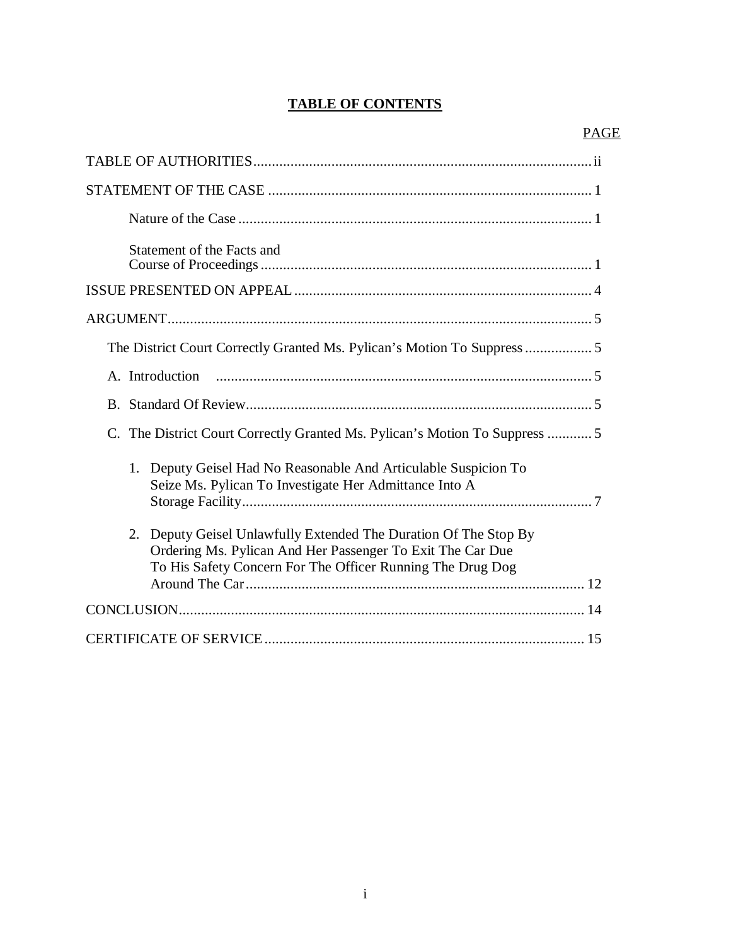# **TABLE OF CONTENTS**

| Statement of the Facts and                                                                                                                                                                      |
|-------------------------------------------------------------------------------------------------------------------------------------------------------------------------------------------------|
|                                                                                                                                                                                                 |
|                                                                                                                                                                                                 |
| The District Court Correctly Granted Ms. Pylican's Motion To Suppress  5                                                                                                                        |
| A. Introduction                                                                                                                                                                                 |
|                                                                                                                                                                                                 |
| C. The District Court Correctly Granted Ms. Pylican's Motion To Suppress 5                                                                                                                      |
| Deputy Geisel Had No Reasonable And Articulable Suspicion To<br>1.<br>Seize Ms. Pylican To Investigate Her Admittance Into A                                                                    |
| Deputy Geisel Unlawfully Extended The Duration Of The Stop By<br>2.<br>Ordering Ms. Pylican And Her Passenger To Exit The Car Due<br>To His Safety Concern For The Officer Running The Drug Dog |
|                                                                                                                                                                                                 |
|                                                                                                                                                                                                 |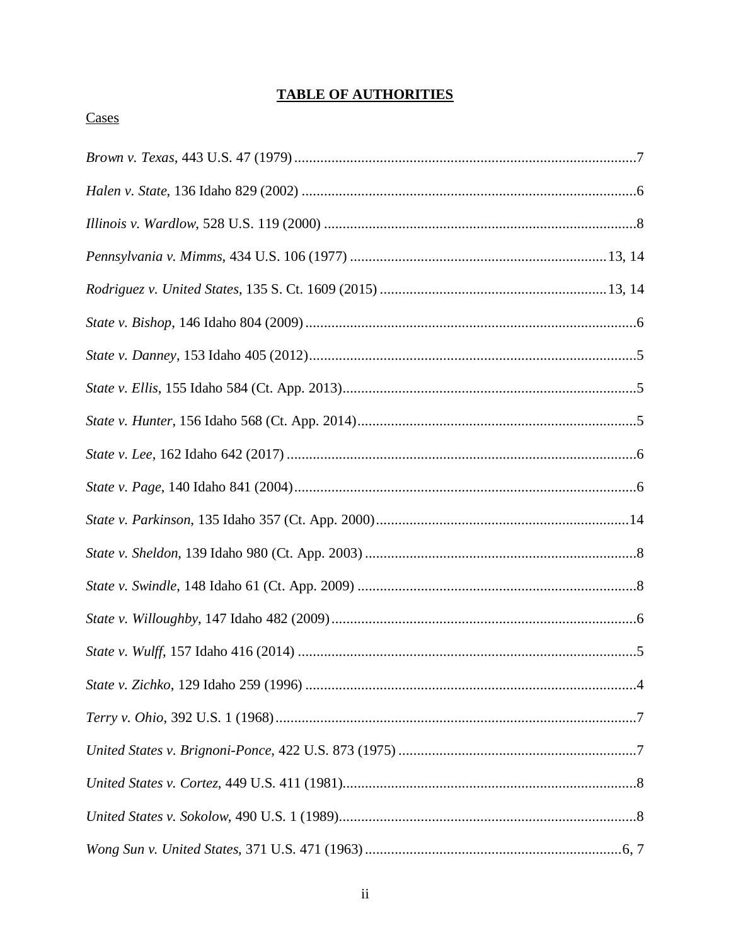# **TABLE OF AUTHORITIES**

# Cases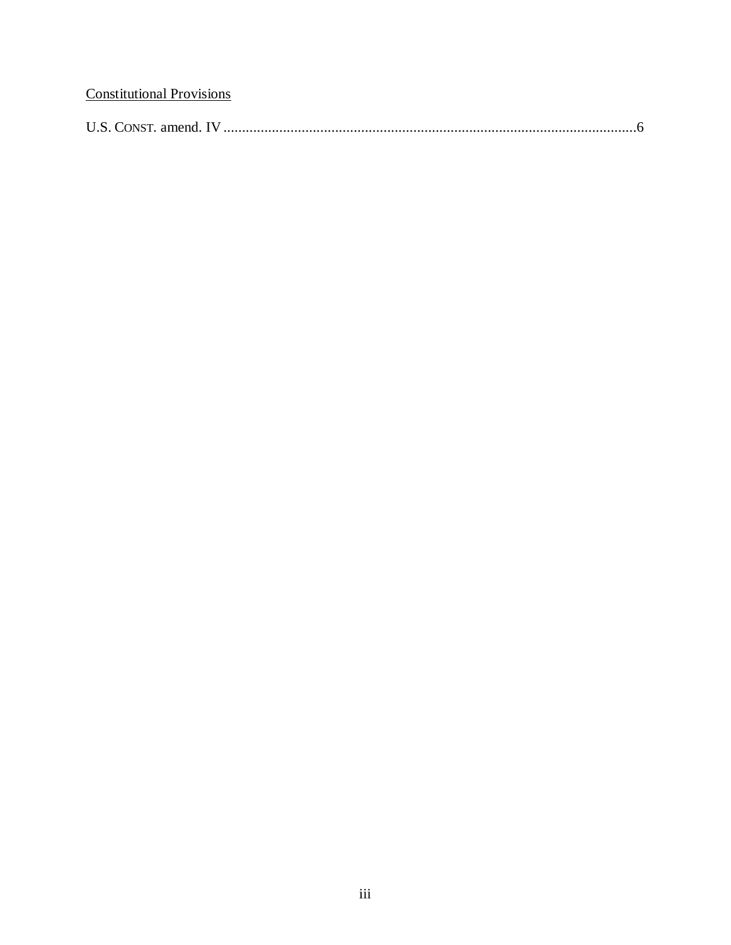# **Constitutional Provisions**

|--|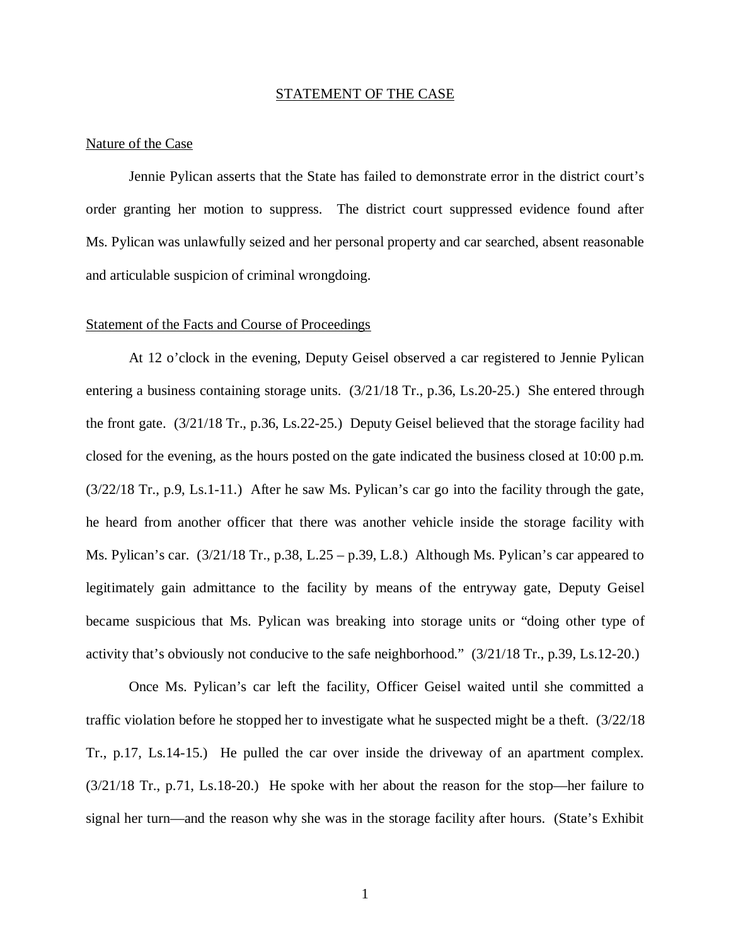#### STATEMENT OF THE CASE

#### Nature of the Case

Jennie Pylican asserts that the State has failed to demonstrate error in the district court's order granting her motion to suppress. The district court suppressed evidence found after Ms. Pylican was unlawfully seized and her personal property and car searched, absent reasonable and articulable suspicion of criminal wrongdoing.

#### Statement of the Facts and Course of Proceedings

At 12 o'clock in the evening, Deputy Geisel observed a car registered to Jennie Pylican entering a business containing storage units. (3/21/18 Tr., p.36, Ls.20-25.) She entered through the front gate. (3/21/18 Tr., p.36, Ls.22-25.) Deputy Geisel believed that the storage facility had closed for the evening, as the hours posted on the gate indicated the business closed at 10:00 p.m. (3/22/18 Tr., p.9, Ls.1-11.) After he saw Ms. Pylican's car go into the facility through the gate, he heard from another officer that there was another vehicle inside the storage facility with Ms. Pylican's car. (3/21/18 Tr., p.38, L.25 – p.39, L.8.) Although Ms. Pylican's car appeared to legitimately gain admittance to the facility by means of the entryway gate, Deputy Geisel became suspicious that Ms. Pylican was breaking into storage units or "doing other type of activity that's obviously not conducive to the safe neighborhood." (3/21/18 Tr., p.39, Ls.12-20.)

Once Ms. Pylican's car left the facility, Officer Geisel waited until she committed a traffic violation before he stopped her to investigate what he suspected might be a theft. (3/22/18 Tr., p.17, Ls.14-15.) He pulled the car over inside the driveway of an apartment complex. (3/21/18 Tr., p.71, Ls.18-20.) He spoke with her about the reason for the stop—her failure to signal her turn—and the reason why she was in the storage facility after hours. (State's Exhibit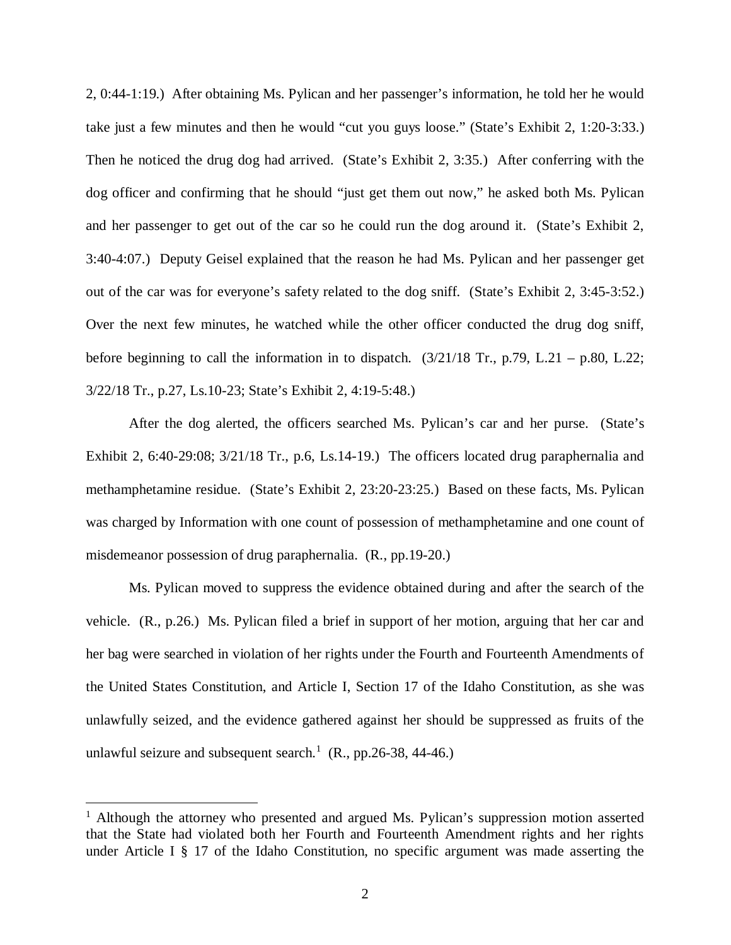2, 0:44-1:19.) After obtaining Ms. Pylican and her passenger's information, he told her he would take just a few minutes and then he would "cut you guys loose." (State's Exhibit 2, 1:20-3:33.) Then he noticed the drug dog had arrived. (State's Exhibit 2, 3:35.) After conferring with the dog officer and confirming that he should "just get them out now," he asked both Ms. Pylican and her passenger to get out of the car so he could run the dog around it. (State's Exhibit 2, 3:40-4:07.) Deputy Geisel explained that the reason he had Ms. Pylican and her passenger get out of the car was for everyone's safety related to the dog sniff. (State's Exhibit 2, 3:45-3:52.) Over the next few minutes, he watched while the other officer conducted the drug dog sniff, before beginning to call the information in to dispatch.  $(3/21/18$  Tr., p.79, L.21 – p.80, L.22; 3/22/18 Tr., p.27, Ls.10-23; State's Exhibit 2, 4:19-5:48.)

After the dog alerted, the officers searched Ms. Pylican's car and her purse. (State's Exhibit 2, 6:40-29:08;  $3/21/18$  Tr., p.6, Ls.14-19.) The officers located drug paraphernalia and methamphetamine residue. (State's Exhibit 2, 23:20-23:25.) Based on these facts, Ms. Pylican was charged by Information with one count of possession of methamphetamine and one count of misdemeanor possession of drug paraphernalia. (R., pp.19-20.)

Ms. Pylican moved to suppress the evidence obtained during and after the search of the vehicle. (R., p.26.) Ms. Pylican filed a brief in support of her motion, arguing that her car and her bag were searched in violation of her rights under the Fourth and Fourteenth Amendments of the United States Constitution, and Article I, Section 17 of the Idaho Constitution, as she was unlawfully seized, and the evidence gathered against her should be suppressed as fruits of the unlawful seizure and subsequent search.<sup>[1](#page-6-0)</sup>  $(R., pp.26-38, 44-46.)$ 

<span id="page-6-0"></span><sup>&</sup>lt;sup>1</sup> Although the attorney who presented and argued Ms. Pylican's suppression motion asserted that the State had violated both her Fourth and Fourteenth Amendment rights and her rights under Article I § 17 of the Idaho Constitution, no specific argument was made asserting the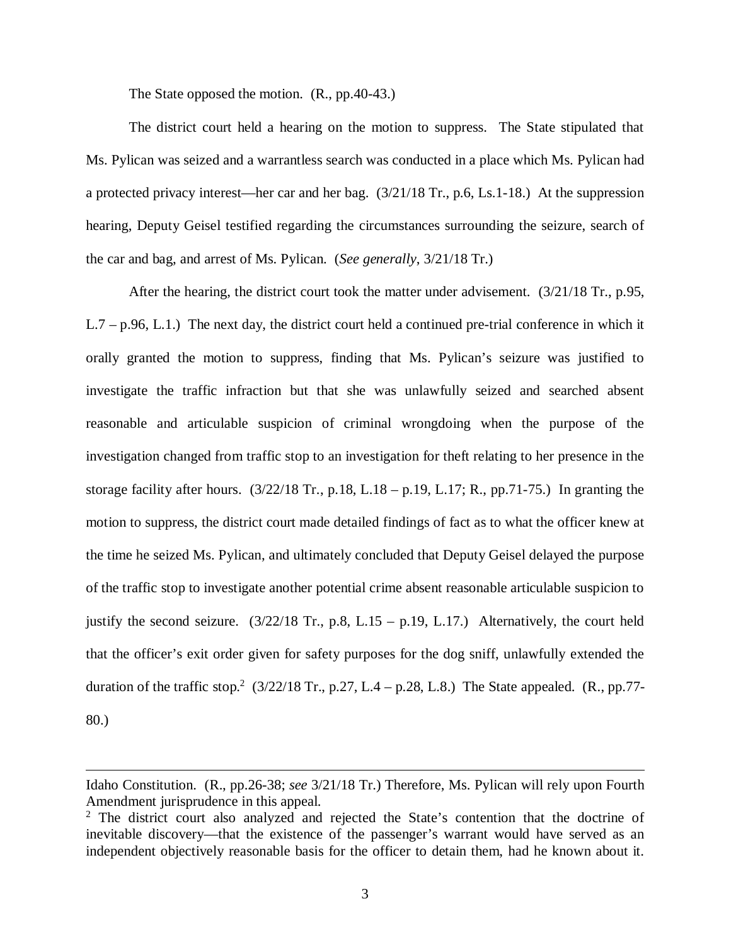The State opposed the motion. (R., pp.40-43.)

The district court held a hearing on the motion to suppress. The State stipulated that Ms. Pylican was seized and a warrantless search was conducted in a place which Ms. Pylican had a protected privacy interest—her car and her bag. (3/21/18 Tr., p.6, Ls.1-18.) At the suppression hearing, Deputy Geisel testified regarding the circumstances surrounding the seizure, search of the car and bag, and arrest of Ms. Pylican. (*See generally*, 3/21/18 Tr.)

After the hearing, the district court took the matter under advisement. (3/21/18 Tr., p.95, L.7 – p.96, L.1.) The next day, the district court held a continued pre-trial conference in which it orally granted the motion to suppress, finding that Ms. Pylican's seizure was justified to investigate the traffic infraction but that she was unlawfully seized and searched absent reasonable and articulable suspicion of criminal wrongdoing when the purpose of the investigation changed from traffic stop to an investigation for theft relating to her presence in the storage facility after hours.  $(3/22/18 \text{ Tr}$ , p.18, L.18 – p.19, L.17; R., pp.71-75.) In granting the motion to suppress, the district court made detailed findings of fact as to what the officer knew at the time he seized Ms. Pylican, and ultimately concluded that Deputy Geisel delayed the purpose of the traffic stop to investigate another potential crime absent reasonable articulable suspicion to justify the second seizure.  $(3/22/18$  Tr., p.8, L.15 – p.19, L.17.) Alternatively, the court held that the officer's exit order given for safety purposes for the dog sniff, unlawfully extended the duration of the traffic stop.<sup>[2](#page-7-0)</sup> (3/22/18 Tr., p.27, L.4 – p.28, L.8.) The State appealed. (R., pp.77-80.)

Idaho Constitution. (R., pp.26-38; *see* 3/21/18 Tr.) Therefore, Ms. Pylican will rely upon Fourth Amendment jurisprudence in this appeal.

<span id="page-7-0"></span><sup>&</sup>lt;sup>2</sup> The district court also analyzed and rejected the State's contention that the doctrine of inevitable discovery—that the existence of the passenger's warrant would have served as an independent objectively reasonable basis for the officer to detain them, had he known about it.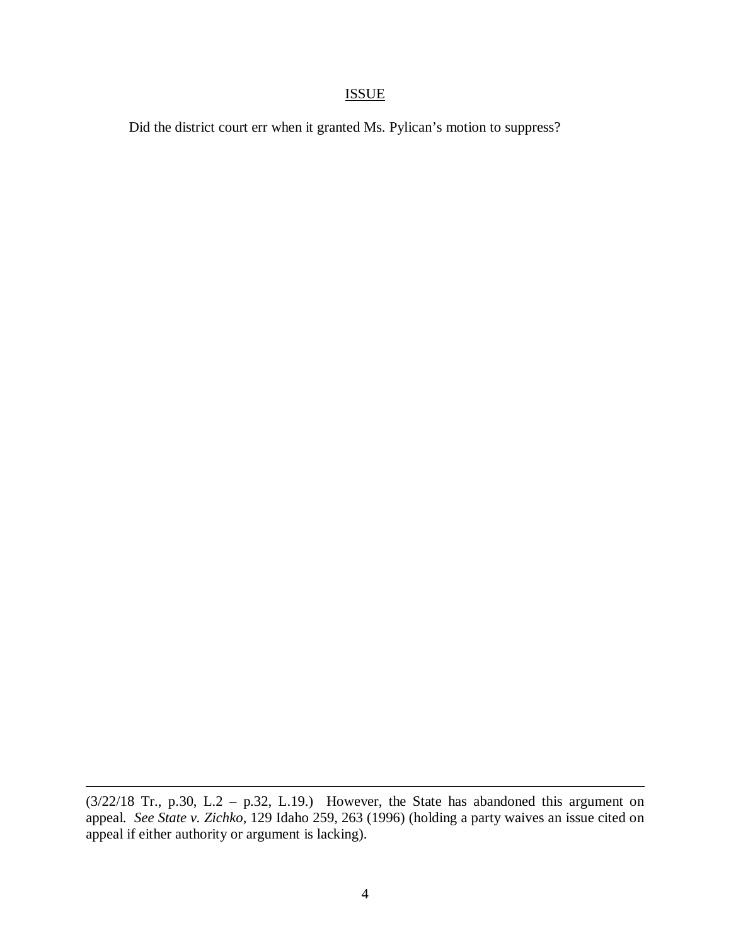## ISSUE

Did the district court err when it granted Ms. Pylican's motion to suppress?

 $(3/22/18$  Tr., p.30, L.2 - p.32, L.19.) However, the State has abandoned this argument on appeal. *See State v. Zichko*, 129 Idaho 259, 263 (1996) (holding a party waives an issue cited on appeal if either authority or argument is lacking).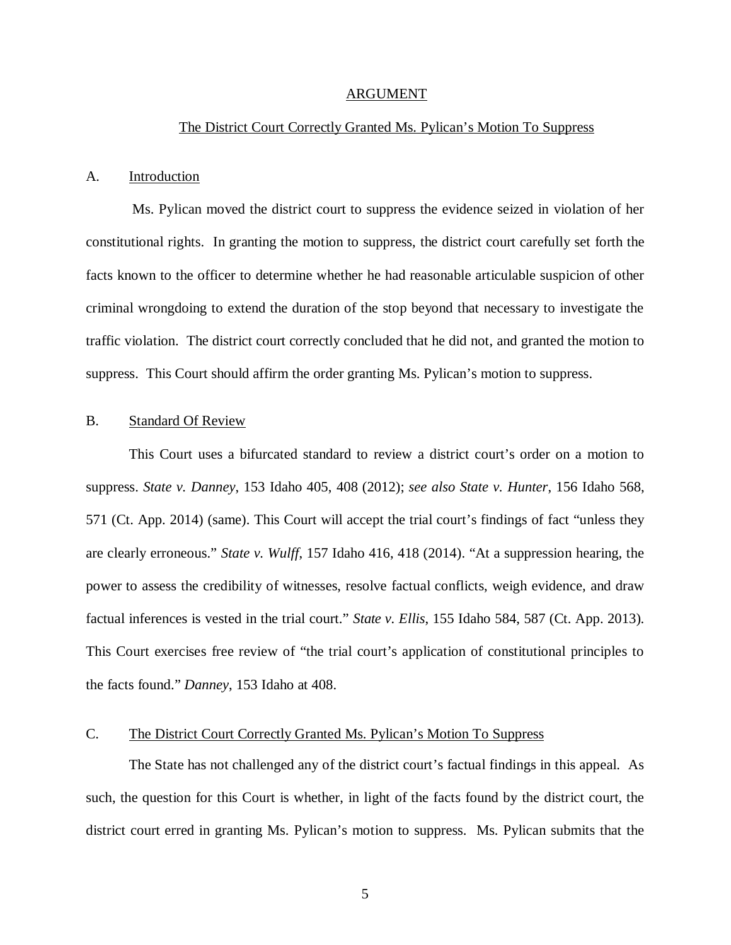#### ARGUMENT

### The District Court Correctly Granted Ms. Pylican's Motion To Suppress

### A. Introduction

 Ms. Pylican moved the district court to suppress the evidence seized in violation of her constitutional rights. In granting the motion to suppress, the district court carefully set forth the facts known to the officer to determine whether he had reasonable articulable suspicion of other criminal wrongdoing to extend the duration of the stop beyond that necessary to investigate the traffic violation. The district court correctly concluded that he did not, and granted the motion to suppress. This Court should affirm the order granting Ms. Pylican's motion to suppress.

### B. Standard Of Review

This Court uses a bifurcated standard to review a district court's order on a motion to suppress. *State v. Danney*, 153 Idaho 405, 408 (2012); *see also State v. Hunter*, 156 Idaho 568, 571 (Ct. App. 2014) (same). This Court will accept the trial court's findings of fact "unless they are clearly erroneous." *State v. Wulff*, 157 Idaho 416, 418 (2014). "At a suppression hearing, the power to assess the credibility of witnesses, resolve factual conflicts, weigh evidence, and draw factual inferences is vested in the trial court." *State v. Ellis*, 155 Idaho 584, 587 (Ct. App. 2013). This Court exercises free review of "the trial court's application of constitutional principles to the facts found." *Danney*, 153 Idaho at 408.

### C. The District Court Correctly Granted Ms. Pylican's Motion To Suppress

The State has not challenged any of the district court's factual findings in this appeal. As such, the question for this Court is whether, in light of the facts found by the district court, the district court erred in granting Ms. Pylican's motion to suppress. Ms. Pylican submits that the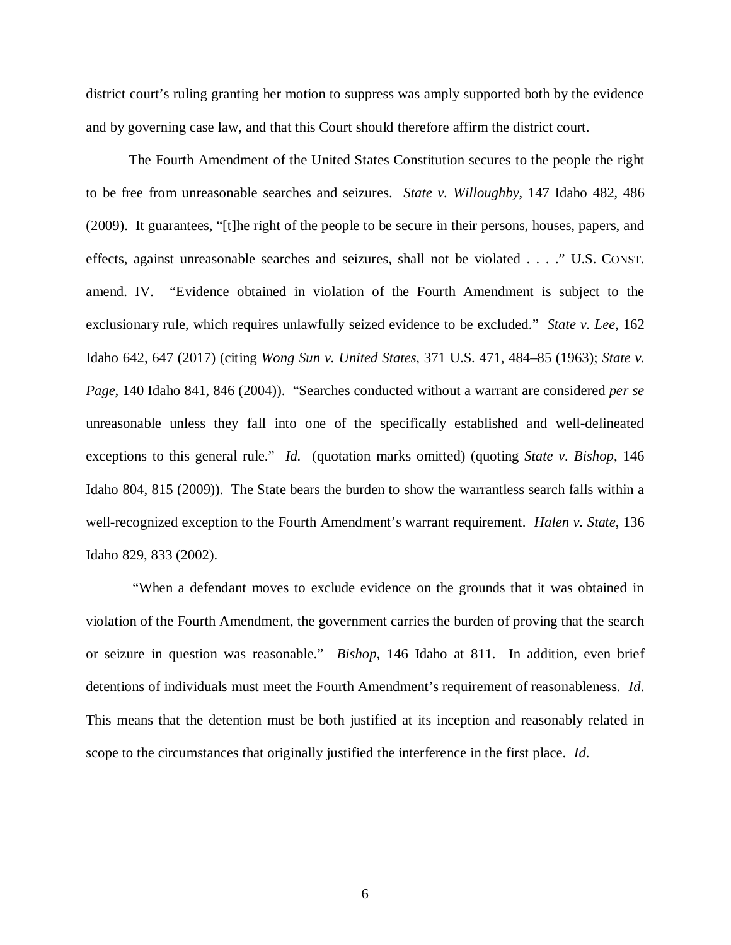district court's ruling granting her motion to suppress was amply supported both by the evidence and by governing case law, and that this Court should therefore affirm the district court.

The Fourth Amendment of the United States Constitution secures to the people the right to be free from unreasonable searches and seizures. *State v. Willoughby*, 147 Idaho 482, 486 (2009). It guarantees, "[t]he right of the people to be secure in their persons, houses, papers, and effects, against unreasonable searches and seizures, shall not be violated . . . ." U.S. CONST. amend. IV. "Evidence obtained in violation of the Fourth Amendment is subject to the exclusionary rule, which requires unlawfully seized evidence to be excluded." *State v. Lee*, 162 Idaho 642, 647 (2017) (citing *Wong Sun v. United States*, 371 U.S. 471, 484–85 (1963); *State v. Page*, 140 Idaho 841, 846 (2004)). "Searches conducted without a warrant are considered *per se* unreasonable unless they fall into one of the specifically established and well-delineated exceptions to this general rule." *Id.* (quotation marks omitted) (quoting *State v. Bishop*, 146 Idaho 804, 815 (2009)). The State bears the burden to show the warrantless search falls within a well-recognized exception to the Fourth Amendment's warrant requirement. *Halen v. State*, 136 Idaho 829, 833 (2002).

 "When a defendant moves to exclude evidence on the grounds that it was obtained in violation of the Fourth Amendment, the government carries the burden of proving that the search or seizure in question was reasonable." *Bishop*, 146 Idaho at 811. In addition, even brief detentions of individuals must meet the Fourth Amendment's requirement of reasonableness. *Id*. This means that the detention must be both justified at its inception and reasonably related in scope to the circumstances that originally justified the interference in the first place. *Id*.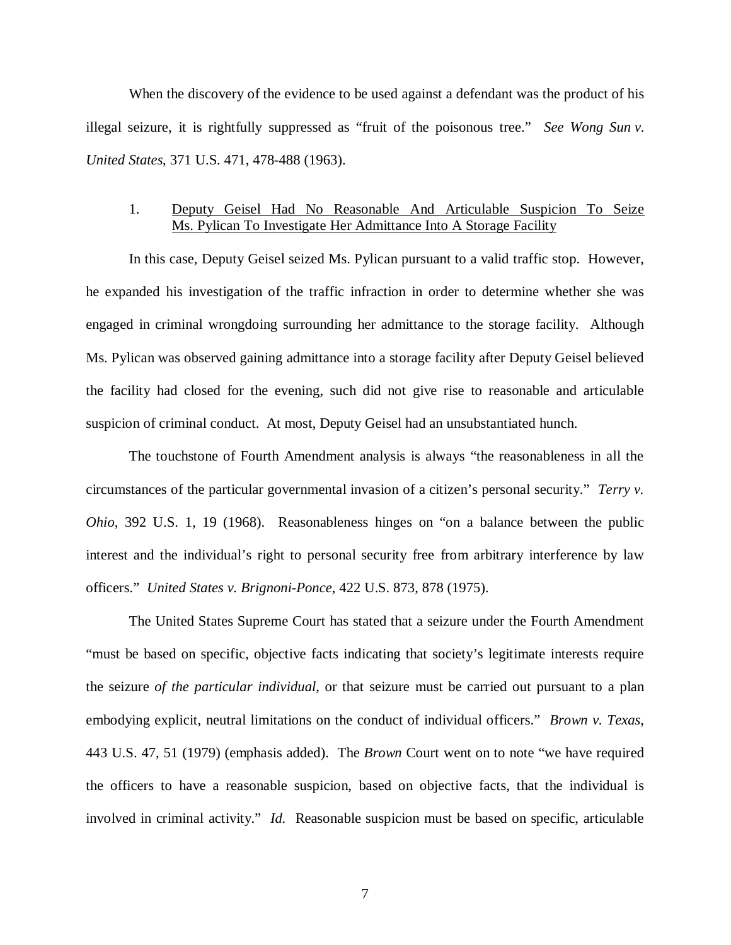When the discovery of the evidence to be used against a defendant was the product of his illegal seizure, it is rightfully suppressed as "fruit of the poisonous tree." *See Wong Sun v. United States*, 371 U.S. 471, 478-488 (1963).

## 1. Deputy Geisel Had No Reasonable And Articulable Suspicion To Seize Ms. Pylican To Investigate Her Admittance Into A Storage Facility

In this case, Deputy Geisel seized Ms. Pylican pursuant to a valid traffic stop. However, he expanded his investigation of the traffic infraction in order to determine whether she was engaged in criminal wrongdoing surrounding her admittance to the storage facility. Although Ms. Pylican was observed gaining admittance into a storage facility after Deputy Geisel believed the facility had closed for the evening, such did not give rise to reasonable and articulable suspicion of criminal conduct. At most, Deputy Geisel had an unsubstantiated hunch.

The touchstone of Fourth Amendment analysis is always "the reasonableness in all the circumstances of the particular governmental invasion of a citizen's personal security." *Terry v. Ohio*, 392 U.S. 1, 19 (1968). Reasonableness hinges on "on a balance between the public interest and the individual's right to personal security free from arbitrary interference by law officers." *United States v. Brignoni-Ponce*, 422 U.S. 873, 878 (1975).

The United States Supreme Court has stated that a seizure under the Fourth Amendment "must be based on specific, objective facts indicating that society's legitimate interests require the seizure *of the particular individual*, or that seizure must be carried out pursuant to a plan embodying explicit, neutral limitations on the conduct of individual officers." *Brown v. Texas*, 443 U.S. 47, 51 (1979) (emphasis added). The *Brown* Court went on to note "we have required the officers to have a reasonable suspicion, based on objective facts, that the individual is involved in criminal activity." *Id.* Reasonable suspicion must be based on specific, articulable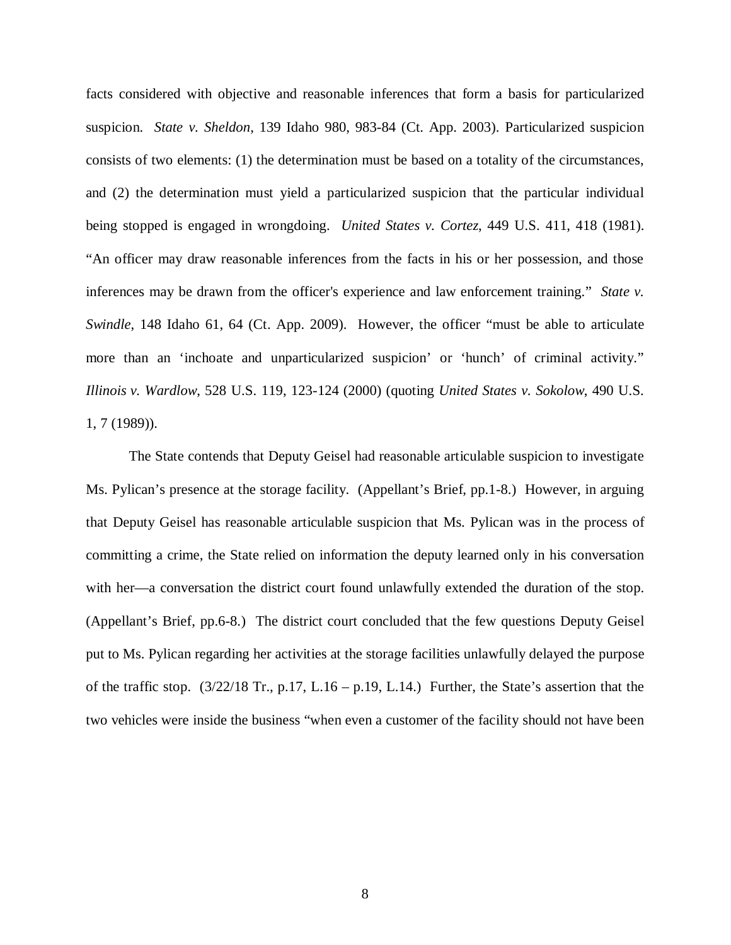facts considered with objective and reasonable inferences that form a basis for particularized suspicion. *State v. Sheldon*, 139 Idaho 980, 983-84 (Ct. App. 2003). Particularized suspicion consists of two elements: (1) the determination must be based on a totality of the circumstances, and (2) the determination must yield a particularized suspicion that the particular individual being stopped is engaged in wrongdoing. *United States v. Cortez*, 449 U.S. 411, 418 (1981). "An officer may draw reasonable inferences from the facts in his or her possession, and those inferences may be drawn from the officer's experience and law enforcement training." *State v. Swindle*, 148 Idaho 61, 64 (Ct. App. 2009). However, the officer "must be able to articulate more than an 'inchoate and unparticularized suspicion' or 'hunch' of criminal activity." *Illinois v. Wardlow*, 528 U.S. 119, 123-124 (2000) (quoting *United States v. Sokolow*, 490 U.S. 1, 7 (1989)).

The State contends that Deputy Geisel had reasonable articulable suspicion to investigate Ms. Pylican's presence at the storage facility. (Appellant's Brief, pp.1-8.) However, in arguing that Deputy Geisel has reasonable articulable suspicion that Ms. Pylican was in the process of committing a crime, the State relied on information the deputy learned only in his conversation with her—a conversation the district court found unlawfully extended the duration of the stop. (Appellant's Brief, pp.6-8.) The district court concluded that the few questions Deputy Geisel put to Ms. Pylican regarding her activities at the storage facilities unlawfully delayed the purpose of the traffic stop.  $(3/22/18 \text{ Tr}, p.17, L.16 - p.19, L.14.)$  Further, the State's assertion that the two vehicles were inside the business "when even a customer of the facility should not have been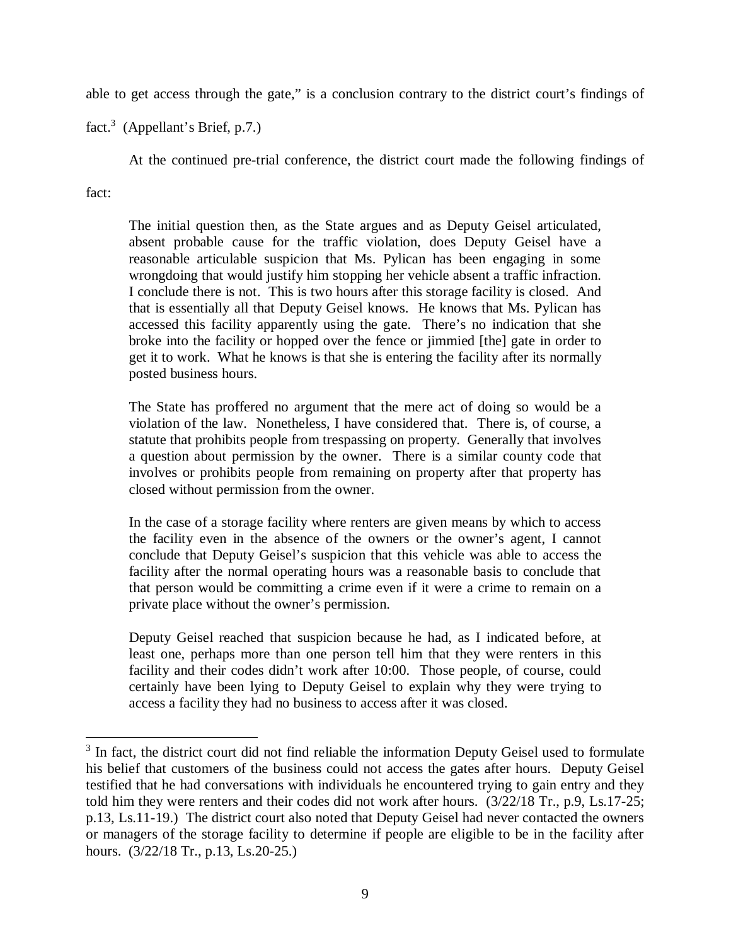able to get access through the gate," is a conclusion contrary to the district court's findings of

fact.<sup>[3](#page-13-0)</sup> (Appellant's Brief, p.7.)

At the continued pre-trial conference, the district court made the following findings of

fact:

The initial question then, as the State argues and as Deputy Geisel articulated, absent probable cause for the traffic violation, does Deputy Geisel have a reasonable articulable suspicion that Ms. Pylican has been engaging in some wrongdoing that would justify him stopping her vehicle absent a traffic infraction. I conclude there is not. This is two hours after this storage facility is closed. And that is essentially all that Deputy Geisel knows. He knows that Ms. Pylican has accessed this facility apparently using the gate. There's no indication that she broke into the facility or hopped over the fence or jimmied [the] gate in order to get it to work. What he knows is that she is entering the facility after its normally posted business hours.

The State has proffered no argument that the mere act of doing so would be a violation of the law. Nonetheless, I have considered that. There is, of course, a statute that prohibits people from trespassing on property. Generally that involves a question about permission by the owner. There is a similar county code that involves or prohibits people from remaining on property after that property has closed without permission from the owner.

In the case of a storage facility where renters are given means by which to access the facility even in the absence of the owners or the owner's agent, I cannot conclude that Deputy Geisel's suspicion that this vehicle was able to access the facility after the normal operating hours was a reasonable basis to conclude that that person would be committing a crime even if it were a crime to remain on a private place without the owner's permission.

Deputy Geisel reached that suspicion because he had, as I indicated before, at least one, perhaps more than one person tell him that they were renters in this facility and their codes didn't work after 10:00. Those people, of course, could certainly have been lying to Deputy Geisel to explain why they were trying to access a facility they had no business to access after it was closed.

<span id="page-13-0"></span> $3$  In fact, the district court did not find reliable the information Deputy Geisel used to formulate his belief that customers of the business could not access the gates after hours. Deputy Geisel testified that he had conversations with individuals he encountered trying to gain entry and they told him they were renters and their codes did not work after hours. (3/22/18 Tr., p.9, Ls.17-25; p.13, Ls.11-19.) The district court also noted that Deputy Geisel had never contacted the owners or managers of the storage facility to determine if people are eligible to be in the facility after hours. (3/22/18 Tr., p.13, Ls.20-25.)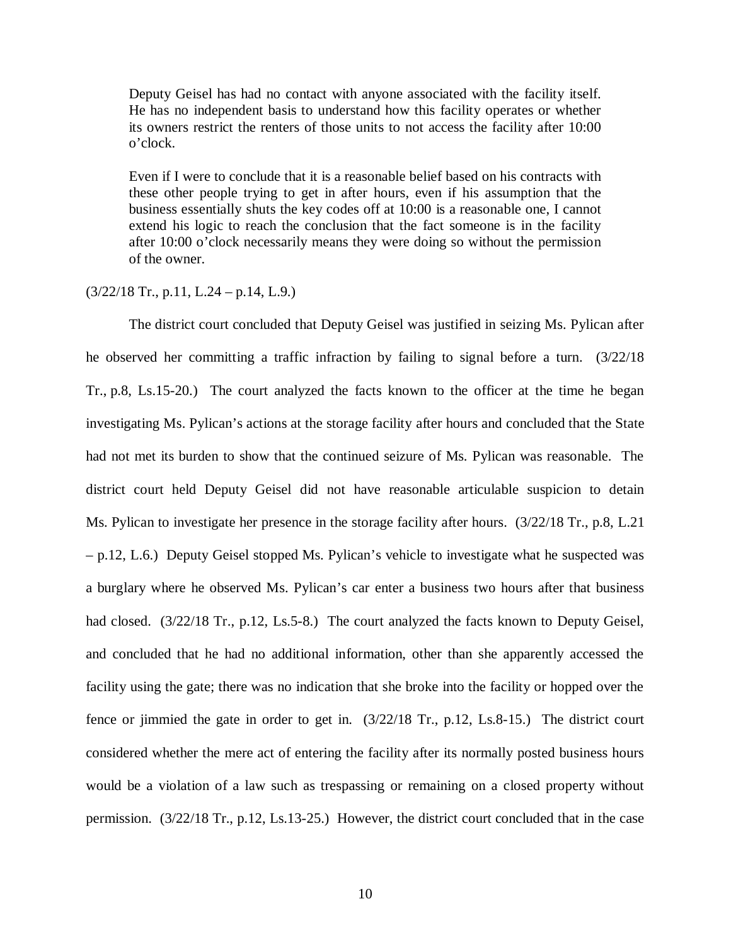Deputy Geisel has had no contact with anyone associated with the facility itself. He has no independent basis to understand how this facility operates or whether its owners restrict the renters of those units to not access the facility after 10:00 o'clock.

Even if I were to conclude that it is a reasonable belief based on his contracts with these other people trying to get in after hours, even if his assumption that the business essentially shuts the key codes off at 10:00 is a reasonable one, I cannot extend his logic to reach the conclusion that the fact someone is in the facility after 10:00 o'clock necessarily means they were doing so without the permission of the owner.

### $(3/22/18$  Tr., p.11, L.24 – p.14, L.9.)

The district court concluded that Deputy Geisel was justified in seizing Ms. Pylican after he observed her committing a traffic infraction by failing to signal before a turn. (3/22/18 Tr., p.8, Ls.15-20.) The court analyzed the facts known to the officer at the time he began investigating Ms. Pylican's actions at the storage facility after hours and concluded that the State had not met its burden to show that the continued seizure of Ms. Pylican was reasonable. The district court held Deputy Geisel did not have reasonable articulable suspicion to detain Ms. Pylican to investigate her presence in the storage facility after hours. (3/22/18 Tr., p.8, L.21 – p.12, L.6.) Deputy Geisel stopped Ms. Pylican's vehicle to investigate what he suspected was a burglary where he observed Ms. Pylican's car enter a business two hours after that business had closed. (3/22/18 Tr., p.12, Ls.5-8.) The court analyzed the facts known to Deputy Geisel, and concluded that he had no additional information, other than she apparently accessed the facility using the gate; there was no indication that she broke into the facility or hopped over the fence or jimmied the gate in order to get in. (3/22/18 Tr., p.12, Ls.8-15.) The district court considered whether the mere act of entering the facility after its normally posted business hours would be a violation of a law such as trespassing or remaining on a closed property without permission. (3/22/18 Tr., p.12, Ls.13-25.) However, the district court concluded that in the case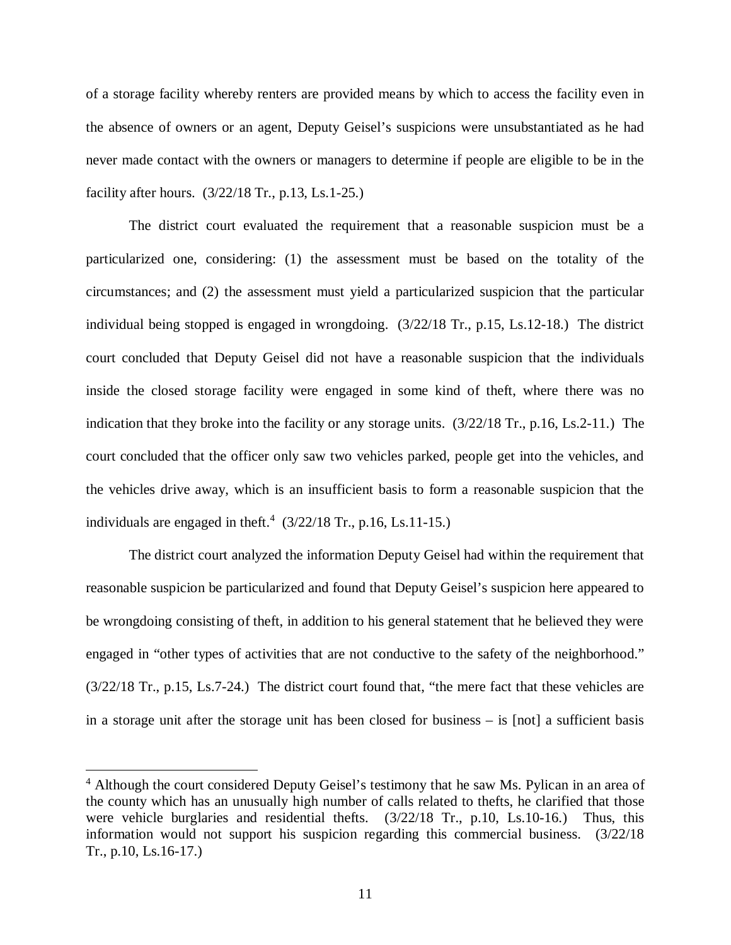of a storage facility whereby renters are provided means by which to access the facility even in the absence of owners or an agent, Deputy Geisel's suspicions were unsubstantiated as he had never made contact with the owners or managers to determine if people are eligible to be in the facility after hours. (3/22/18 Tr., p.13, Ls.1-25.)

The district court evaluated the requirement that a reasonable suspicion must be a particularized one, considering: (1) the assessment must be based on the totality of the circumstances; and (2) the assessment must yield a particularized suspicion that the particular individual being stopped is engaged in wrongdoing. (3/22/18 Tr., p.15, Ls.12-18.) The district court concluded that Deputy Geisel did not have a reasonable suspicion that the individuals inside the closed storage facility were engaged in some kind of theft, where there was no indication that they broke into the facility or any storage units. (3/22/18 Tr., p.16, Ls.2-11.) The court concluded that the officer only saw two vehicles parked, people get into the vehicles, and the vehicles drive away, which is an insufficient basis to form a reasonable suspicion that the individuals are engaged in theft.<sup>[4](#page-15-0)</sup>  $(3/22/18$  Tr., p.16, Ls.11-15.)

The district court analyzed the information Deputy Geisel had within the requirement that reasonable suspicion be particularized and found that Deputy Geisel's suspicion here appeared to be wrongdoing consisting of theft, in addition to his general statement that he believed they were engaged in "other types of activities that are not conductive to the safety of the neighborhood." (3/22/18 Tr., p.15, Ls.7-24.) The district court found that, "the mere fact that these vehicles are in a storage unit after the storage unit has been closed for business – is [not] a sufficient basis

<span id="page-15-0"></span><sup>&</sup>lt;sup>4</sup> Although the court considered Deputy Geisel's testimony that he saw Ms. Pylican in an area of the county which has an unusually high number of calls related to thefts, he clarified that those were vehicle burglaries and residential thefts.  $(3/22/18)$  Tr., p.10, Ls.10-16.) Thus, this information would not support his suspicion regarding this commercial business. (3/22/18 Tr., p.10, Ls.16-17.)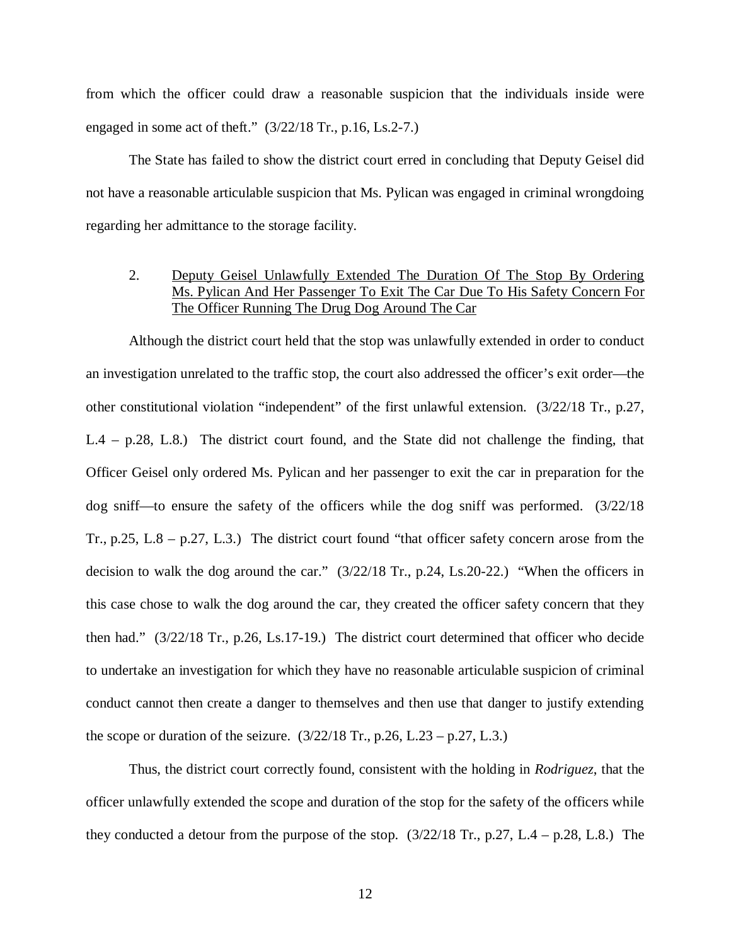from which the officer could draw a reasonable suspicion that the individuals inside were engaged in some act of theft." (3/22/18 Tr., p.16, Ls.2-7.)

The State has failed to show the district court erred in concluding that Deputy Geisel did not have a reasonable articulable suspicion that Ms. Pylican was engaged in criminal wrongdoing regarding her admittance to the storage facility.

## 2. Deputy Geisel Unlawfully Extended The Duration Of The Stop By Ordering Ms. Pylican And Her Passenger To Exit The Car Due To His Safety Concern For The Officer Running The Drug Dog Around The Car

Although the district court held that the stop was unlawfully extended in order to conduct an investigation unrelated to the traffic stop, the court also addressed the officer's exit order—the other constitutional violation "independent" of the first unlawful extension. (3/22/18 Tr., p.27, L.4 – p.28, L.8.) The district court found, and the State did not challenge the finding, that Officer Geisel only ordered Ms. Pylican and her passenger to exit the car in preparation for the dog sniff—to ensure the safety of the officers while the dog sniff was performed.  $(3/22/18)$ Tr., p.25, L.8 – p.27, L.3.) The district court found "that officer safety concern arose from the decision to walk the dog around the car." (3/22/18 Tr., p.24, Ls.20-22.) "When the officers in this case chose to walk the dog around the car, they created the officer safety concern that they then had." (3/22/18 Tr., p.26, Ls.17-19.) The district court determined that officer who decide to undertake an investigation for which they have no reasonable articulable suspicion of criminal conduct cannot then create a danger to themselves and then use that danger to justify extending the scope or duration of the seizure.  $(3/22/18 \text{ Tr.}, p.26, L.23 - p.27, L.3.)$ 

Thus, the district court correctly found, consistent with the holding in *Rodriguez*, that the officer unlawfully extended the scope and duration of the stop for the safety of the officers while they conducted a detour from the purpose of the stop.  $(3/22/18 \text{ Tr}, p.27, L.4 - p.28, L.8)$  The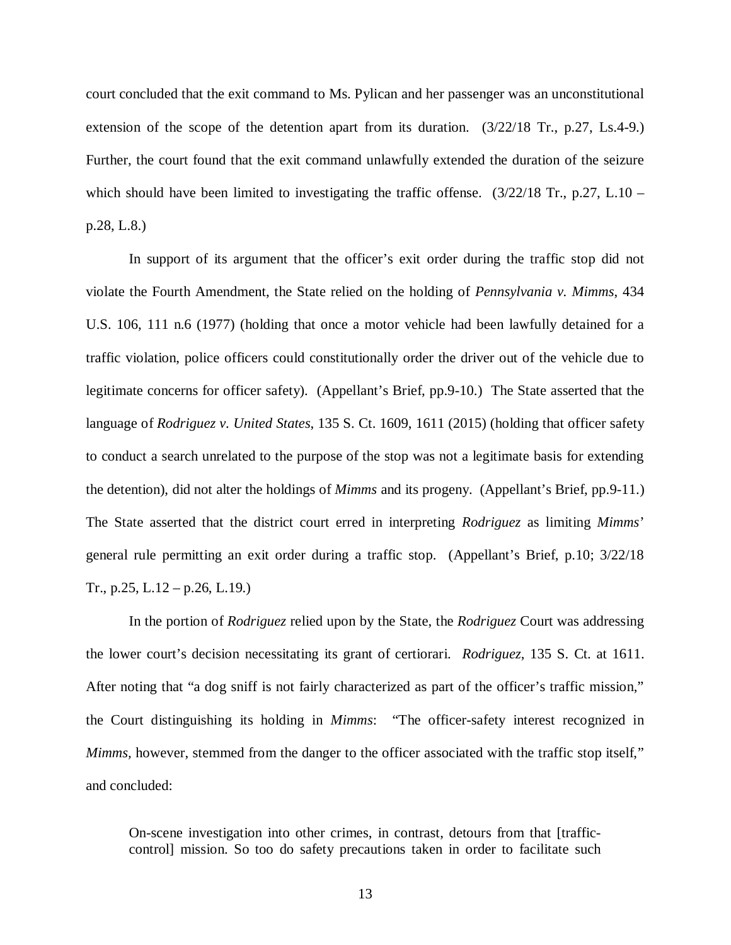court concluded that the exit command to Ms. Pylican and her passenger was an unconstitutional extension of the scope of the detention apart from its duration. (3/22/18 Tr., p.27, Ls.4-9.) Further, the court found that the exit command unlawfully extended the duration of the seizure which should have been limited to investigating the traffic offense.  $(3/22/18$  Tr., p.27, L.10 – p.28, L.8.)

In support of its argument that the officer's exit order during the traffic stop did not violate the Fourth Amendment, the State relied on the holding of *Pennsylvania v. Mimms*, 434 U.S. 106, 111 n.6 (1977) (holding that once a motor vehicle had been lawfully detained for a traffic violation, police officers could constitutionally order the driver out of the vehicle due to legitimate concerns for officer safety). (Appellant's Brief, pp.9-10.) The State asserted that the language of *Rodriguez v. United States*, 135 S. Ct. 1609, 1611 (2015) (holding that officer safety to conduct a search unrelated to the purpose of the stop was not a legitimate basis for extending the detention), did not alter the holdings of *Mimms* and its progeny. (Appellant's Brief, pp.9-11.) The State asserted that the district court erred in interpreting *Rodriguez* as limiting *Mimms*' general rule permitting an exit order during a traffic stop. (Appellant's Brief, p.10; 3/22/18 Tr., p.25, L.12 – p.26, L.19.)

In the portion of *Rodriguez* relied upon by the State, the *Rodriguez* Court was addressing the lower court's decision necessitating its grant of certiorari. *Rodriguez*, 135 S. Ct. at 1611. After noting that "a dog sniff is not fairly characterized as part of the officer's traffic mission," the Court distinguishing its holding in *Mimms*: "The officer-safety interest recognized in *Mimms,* however, stemmed from the danger to the officer associated with the traffic stop itself," and concluded:

On-scene investigation into other crimes, in contrast, detours from that [trafficcontrol] mission. So too do safety precautions taken in order to facilitate such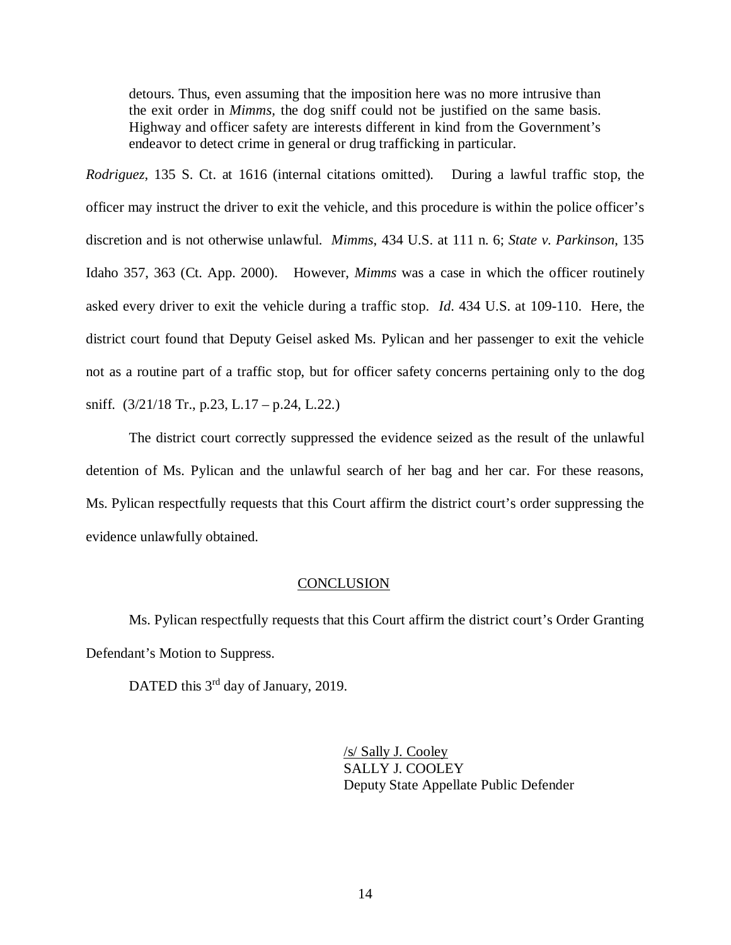detours. Thus, even assuming that the imposition here was no more intrusive than the exit order in *Mimms,* the dog sniff could not be justified on the same basis. Highway and officer safety are interests different in kind from the Government's endeavor to detect crime in general or drug trafficking in particular.

*Rodriguez*, 135 S. Ct. at 1616 (internal citations omitted). During a lawful traffic stop, the officer may instruct the driver to exit the vehicle, and this procedure is within the police officer's discretion and is not otherwise unlawful. *Mimms*, 434 U.S. at 111 n. 6; *State v. Parkinson*, 135 Idaho 357, 363 (Ct. App. 2000). However, *Mimms* was a case in which the officer routinely asked every driver to exit the vehicle during a traffic stop. *Id*. 434 U.S. at 109-110. Here, the district court found that Deputy Geisel asked Ms. Pylican and her passenger to exit the vehicle not as a routine part of a traffic stop, but for officer safety concerns pertaining only to the dog sniff. (3/21/18 Tr., p.23, L.17 – p.24, L.22.)

The district court correctly suppressed the evidence seized as the result of the unlawful detention of Ms. Pylican and the unlawful search of her bag and her car. For these reasons, Ms. Pylican respectfully requests that this Court affirm the district court's order suppressing the evidence unlawfully obtained.

### **CONCLUSION**

Ms. Pylican respectfully requests that this Court affirm the district court's Order Granting Defendant's Motion to Suppress.

DATED this 3<sup>rd</sup> day of January, 2019.

/s/ Sally J. Cooley SALLY J. COOLEY Deputy State Appellate Public Defender